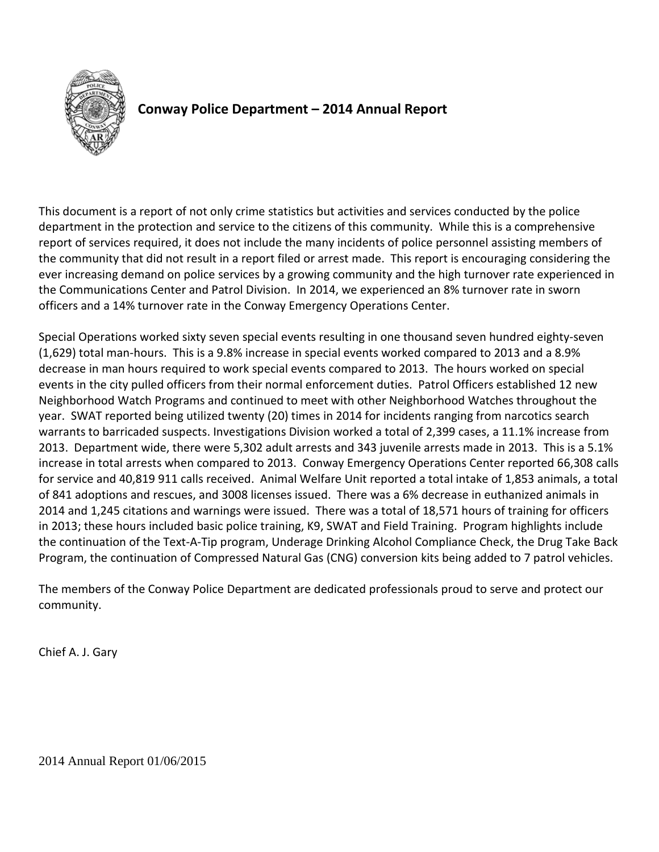

# **Conway Police Department – 2014 Annual Report**

This document is a report of not only crime statistics but activities and services conducted by the police department in the protection and service to the citizens of this community. While this is a comprehensive report of services required, it does not include the many incidents of police personnel assisting members of the community that did not result in a report filed or arrest made. This report is encouraging considering the ever increasing demand on police services by a growing community and the high turnover rate experienced in the Communications Center and Patrol Division. In 2014, we experienced an 8% turnover rate in sworn officers and a 14% turnover rate in the Conway Emergency Operations Center.

Special Operations worked sixty seven special events resulting in one thousand seven hundred eighty-seven (1,629) total man-hours. This is a 9.8% increase in special events worked compared to 2013 and a 8.9% decrease in man hours required to work special events compared to 2013. The hours worked on special events in the city pulled officers from their normal enforcement duties. Patrol Officers established 12 new Neighborhood Watch Programs and continued to meet with other Neighborhood Watches throughout the year. SWAT reported being utilized twenty (20) times in 2014 for incidents ranging from narcotics search warrants to barricaded suspects. Investigations Division worked a total of 2,399 cases, a 11.1% increase from 2013. Department wide, there were 5,302 adult arrests and 343 juvenile arrests made in 2013. This is a 5.1% increase in total arrests when compared to 2013. Conway Emergency Operations Center reported 66,308 calls for service and 40,819 911 calls received. Animal Welfare Unit reported a total intake of 1,853 animals, a total of 841 adoptions and rescues, and 3008 licenses issued. There was a 6% decrease in euthanized animals in 2014 and 1,245 citations and warnings were issued. There was a total of 18,571 hours of training for officers in 2013; these hours included basic police training, K9, SWAT and Field Training. Program highlights include the continuation of the Text-A-Tip program, Underage Drinking Alcohol Compliance Check, the Drug Take Back Program, the continuation of Compressed Natural Gas (CNG) conversion kits being added to 7 patrol vehicles.

The members of the Conway Police Department are dedicated professionals proud to serve and protect our community.

Chief A. J. Gary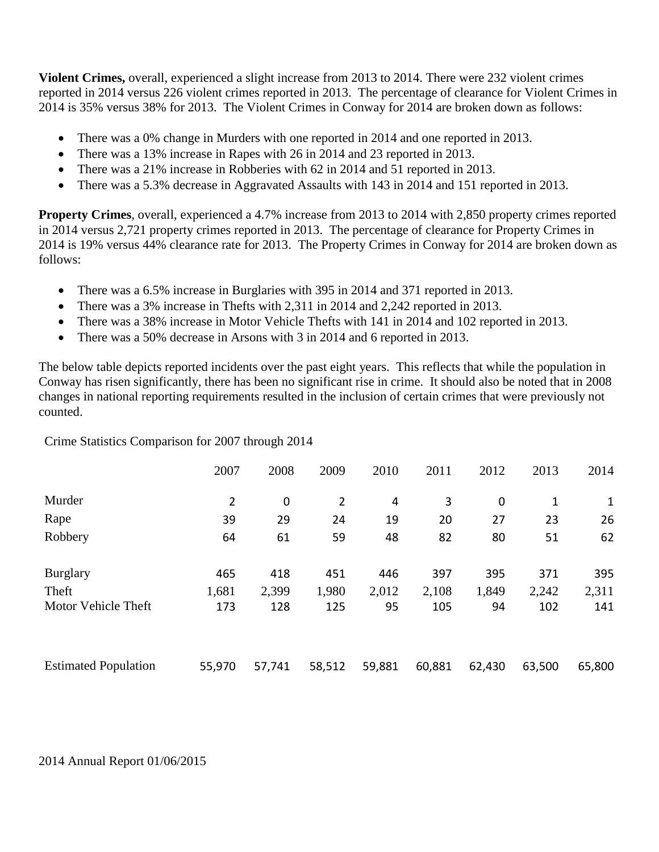**Violent Crimes,** overall, experienced a slight increase from 2013 to 2014. There were 232 violent crimes reported in 2014 versus 226 violent crimes reported in 2013. The percentage of clearance for Violent Crimes in 2014 is 35% versus 38% for 2013. The Violent Crimes in Conway for 2014 are broken down as follows:

- There was a 0% change in Murders with one reported in 2014 and one reported in 2013.
- There was a 13% increase in Rapes with 26 in 2014 and 23 reported in 2013.
- There was a 21% increase in Robberies with 62 in 2014 and 51 reported in 2013.
- There was a 5.3% decrease in Aggravated Assaults with 143 in 2014 and 151 reported in 2013.

**Property Crimes**, overall, experienced a 4.7% increase from 2013 to 2014 with 2,850 property crimes reported in 2014 versus 2,721 property crimes reported in 2013. The percentage of clearance for Property Crimes in 2014 is 19% versus 44% clearance rate for 2013. The Property Crimes in Conway for 2014 are broken down as follows:

- There was a 6.5% increase in Burglaries with 395 in 2014 and 371 reported in 2013.
- There was a 3% increase in Thefts with 2,311 in 2014 and 2,242 reported in 2013.
- There was a 38% increase in Motor Vehicle Thefts with 141 in 2014 and 102 reported in 2013.
- There was a 50% decrease in Arsons with 3 in 2014 and 6 reported in 2013.

The below table depicts reported incidents over the past eight years. This reflects that while the population in Conway has risen significantly, there has been no significant rise in crime. It should also be noted that in 2008 changes in national reporting requirements resulted in the inclusion of certain crimes that were previously not counted.

Crime Statistics Comparison for 2007 through 2014

|                             | 2007           | 2008   | 2009   | 2010   | 2011   | 2012        | 2013         | 2014   |
|-----------------------------|----------------|--------|--------|--------|--------|-------------|--------------|--------|
| Murder                      | $\overline{2}$ | 0      | 2      | 4      | 3      | $\mathbf 0$ | $\mathbf{1}$ | 1      |
| Rape                        | 39             | 29     | 24     | 19     | 20     | 27          | 23           | 26     |
| Robbery                     | 64             | 61     | 59     | 48     | 82     | 80          | 51           | 62     |
| <b>Burglary</b>             | 465            | 418    | 451    | 446    | 397    | 395         | 371          | 395    |
| Theft                       | 1,681          | 2,399  | 1,980  | 2,012  | 2,108  | 1,849       | 2,242        | 2,311  |
| Motor Vehicle Theft         | 173            | 128    | 125    | 95     | 105    | 94          | 102          | 141    |
| <b>Estimated Population</b> | 55,970         | 57,741 | 58,512 | 59,881 | 60,881 | 62,430      | 63,500       | 65,800 |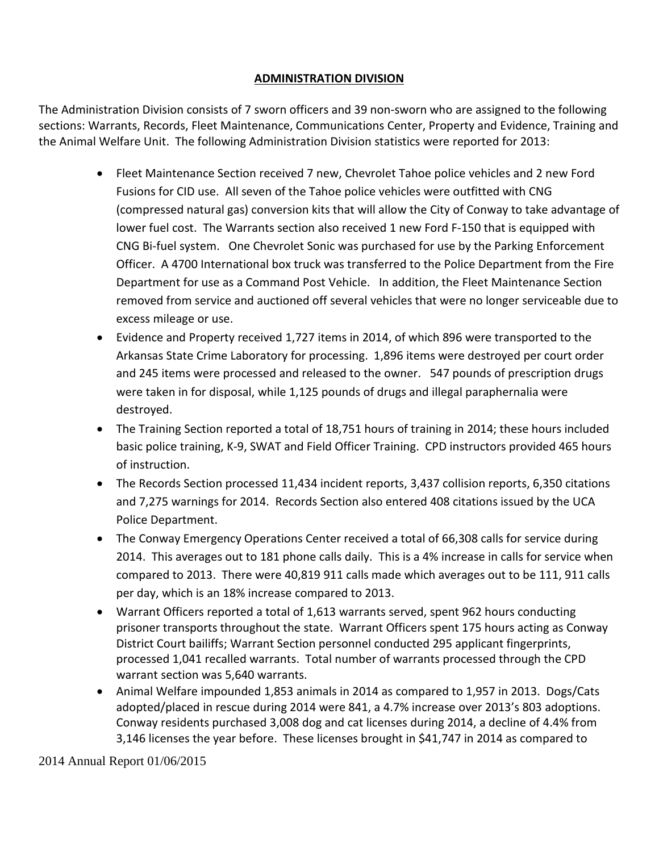## **ADMINISTRATION DIVISION**

The Administration Division consists of 7 sworn officers and 39 non-sworn who are assigned to the following sections: Warrants, Records, Fleet Maintenance, Communications Center, Property and Evidence, Training and the Animal Welfare Unit. The following Administration Division statistics were reported for 2013:

- Fleet Maintenance Section received 7 new, Chevrolet Tahoe police vehicles and 2 new Ford Fusions for CID use. All seven of the Tahoe police vehicles were outfitted with CNG (compressed natural gas) conversion kits that will allow the City of Conway to take advantage of lower fuel cost. The Warrants section also received 1 new Ford F-150 that is equipped with CNG Bi-fuel system. One Chevrolet Sonic was purchased for use by the Parking Enforcement Officer. A 4700 International box truck was transferred to the Police Department from the Fire Department for use as a Command Post Vehicle. In addition, the Fleet Maintenance Section removed from service and auctioned off several vehicles that were no longer serviceable due to excess mileage or use.
- Evidence and Property received 1,727 items in 2014, of which 896 were transported to the Arkansas State Crime Laboratory for processing. 1,896 items were destroyed per court order and 245 items were processed and released to the owner. 547 pounds of prescription drugs were taken in for disposal, while 1,125 pounds of drugs and illegal paraphernalia were destroyed.
- The Training Section reported a total of 18,751 hours of training in 2014; these hours included basic police training, K-9, SWAT and Field Officer Training. CPD instructors provided 465 hours of instruction.
- The Records Section processed 11,434 incident reports, 3,437 collision reports, 6,350 citations and 7,275 warnings for 2014. Records Section also entered 408 citations issued by the UCA Police Department.
- The Conway Emergency Operations Center received a total of 66,308 calls for service during 2014. This averages out to 181 phone calls daily. This is a 4% increase in calls for service when compared to 2013. There were 40,819 911 calls made which averages out to be 111, 911 calls per day, which is an 18% increase compared to 2013.
- Warrant Officers reported a total of 1,613 warrants served, spent 962 hours conducting prisoner transports throughout the state. Warrant Officers spent 175 hours acting as Conway District Court bailiffs; Warrant Section personnel conducted 295 applicant fingerprints, processed 1,041 recalled warrants. Total number of warrants processed through the CPD warrant section was 5,640 warrants.
- Animal Welfare impounded 1,853 animals in 2014 as compared to 1,957 in 2013. Dogs/Cats adopted/placed in rescue during 2014 were 841, a 4.7% increase over 2013's 803 adoptions. Conway residents purchased 3,008 dog and cat licenses during 2014, a decline of 4.4% from 3,146 licenses the year before. These licenses brought in \$41,747 in 2014 as compared to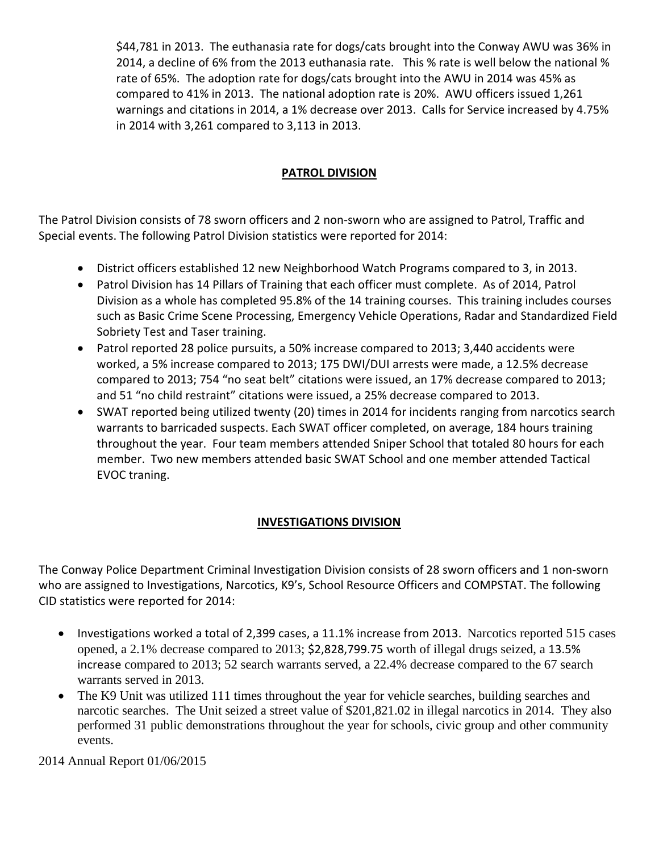\$44,781 in 2013. The euthanasia rate for dogs/cats brought into the Conway AWU was 36% in 2014, a decline of 6% from the 2013 euthanasia rate. This % rate is well below the national % rate of 65%. The adoption rate for dogs/cats brought into the AWU in 2014 was 45% as compared to 41% in 2013. The national adoption rate is 20%. AWU officers issued 1,261 warnings and citations in 2014, a 1% decrease over 2013. Calls for Service increased by 4.75% in 2014 with 3,261 compared to 3,113 in 2013.

# **PATROL DIVISION**

The Patrol Division consists of 78 sworn officers and 2 non-sworn who are assigned to Patrol, Traffic and Special events. The following Patrol Division statistics were reported for 2014:

- District officers established 12 new Neighborhood Watch Programs compared to 3, in 2013.
- Patrol Division has 14 Pillars of Training that each officer must complete. As of 2014, Patrol Division as a whole has completed 95.8% of the 14 training courses. This training includes courses such as Basic Crime Scene Processing, Emergency Vehicle Operations, Radar and Standardized Field Sobriety Test and Taser training.
- Patrol reported 28 police pursuits, a 50% increase compared to 2013; 3,440 accidents were worked, a 5% increase compared to 2013; 175 DWI/DUI arrests were made, a 12.5% decrease compared to 2013; 754 "no seat belt" citations were issued, an 17% decrease compared to 2013; and 51 "no child restraint" citations were issued, a 25% decrease compared to 2013.
- SWAT reported being utilized twenty (20) times in 2014 for incidents ranging from narcotics search warrants to barricaded suspects. Each SWAT officer completed, on average, 184 hours training throughout the year. Four team members attended Sniper School that totaled 80 hours for each member. Two new members attended basic SWAT School and one member attended Tactical EVOC traning.

#### **INVESTIGATIONS DIVISION**

The Conway Police Department Criminal Investigation Division consists of 28 sworn officers and 1 non-sworn who are assigned to Investigations, Narcotics, K9's, School Resource Officers and COMPSTAT. The following CID statistics were reported for 2014:

- Investigations worked a total of 2,399 cases, a 11.1% increase from 2013. Narcotics reported 515 cases opened, a 2.1% decrease compared to 2013; \$2,828,799.75 worth of illegal drugs seized, a 13.5% increase compared to 2013; 52 search warrants served, a 22.4% decrease compared to the 67 search warrants served in 2013.
- The K9 Unit was utilized 111 times throughout the year for vehicle searches, building searches and narcotic searches. The Unit seized a street value of \$201,821.02 in illegal narcotics in 2014. They also performed 31 public demonstrations throughout the year for schools, civic group and other community events.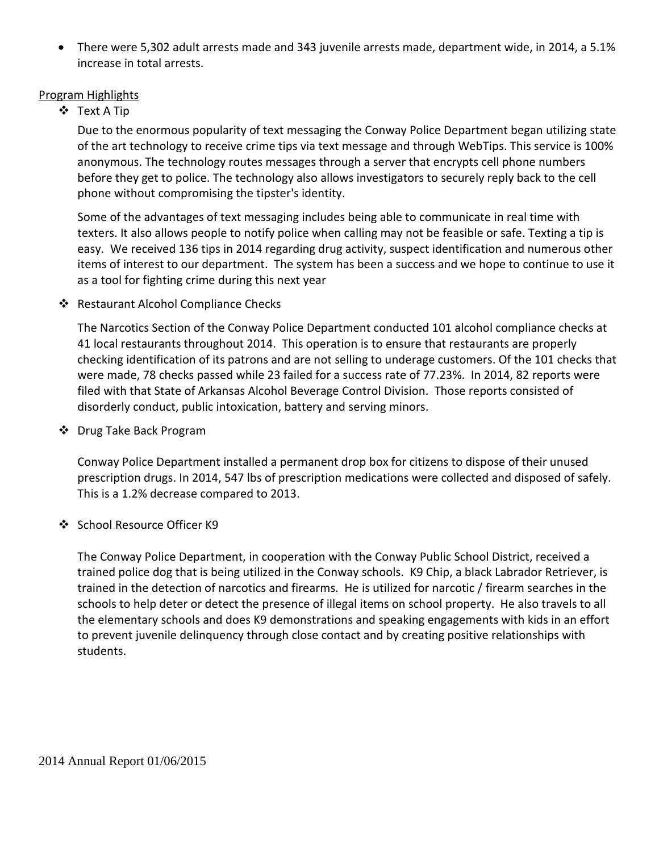• There were 5,302 adult arrests made and 343 juvenile arrests made, department wide, in 2014, a 5.1% increase in total arrests.

#### Program Highlights

Text A Tip

Due to the enormous popularity of text messaging the Conway Police Department began utilizing state of the art technology to receive crime tips via text message and through WebTips. This service is 100% anonymous. The technology routes messages through a server that encrypts cell phone numbers before they get to police. The technology also allows investigators to securely reply back to the cell phone without compromising the tipster's identity.

Some of the advantages of text messaging includes being able to communicate in real time with texters. It also allows people to notify police when calling may not be feasible or safe. Texting a tip is easy. We received 136 tips in 2014 regarding drug activity, suspect identification and numerous other items of interest to our department. The system has been a success and we hope to continue to use it as a tool for fighting crime during this next year

❖ Restaurant Alcohol Compliance Checks

The Narcotics Section of the Conway Police Department conducted 101 alcohol compliance checks at 41 local restaurants throughout 2014. This operation is to ensure that restaurants are properly checking identification of its patrons and are not selling to underage customers. Of the 101 checks that were made, 78 checks passed while 23 failed for a success rate of 77.23%. In 2014, 82 reports were filed with that State of Arkansas Alcohol Beverage Control Division. Those reports consisted of disorderly conduct, public intoxication, battery and serving minors.

❖ Drug Take Back Program

Conway Police Department installed a permanent drop box for citizens to dispose of their unused prescription drugs. In 2014, 547 lbs of prescription medications were collected and disposed of safely. This is a 1.2% decrease compared to 2013.

❖ School Resource Officer K9

The Conway Police Department, in cooperation with the Conway Public School District, received a trained police dog that is being utilized in the Conway schools. K9 Chip, a black Labrador Retriever, is trained in the detection of narcotics and firearms. He is utilized for narcotic / firearm searches in the schools to help deter or detect the presence of illegal items on school property. He also travels to all the elementary schools and does K9 demonstrations and speaking engagements with kids in an effort to prevent juvenile delinquency through close contact and by creating positive relationships with students.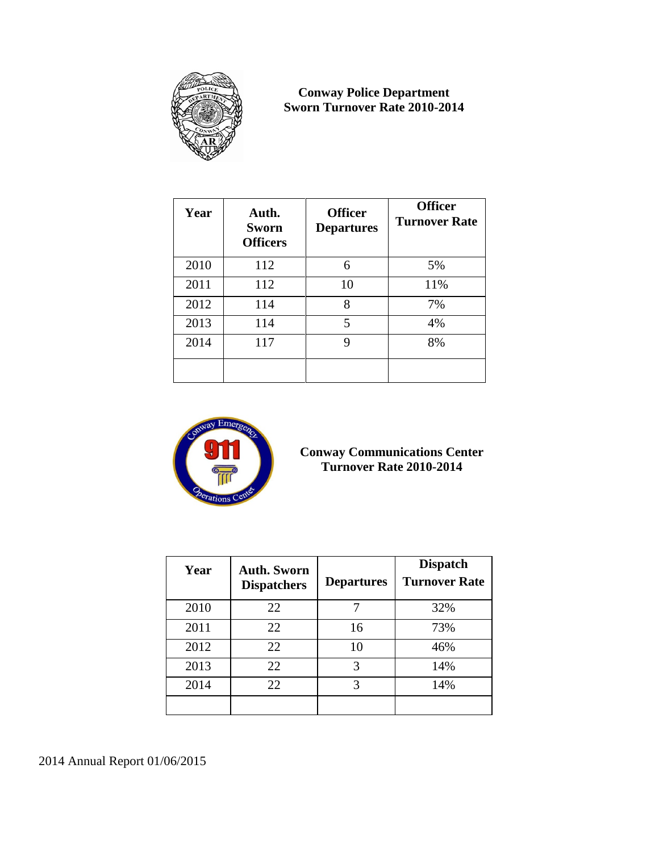

## **Conway Police Department Sworn Turnover Rate 2010-2014**

| Year | Auth.<br><b>Sworn</b><br><b>Officers</b> | <b>Officer</b><br><b>Departures</b> | <b>Officer</b><br><b>Turnover Rate</b> |
|------|------------------------------------------|-------------------------------------|----------------------------------------|
| 2010 | 112                                      | 6                                   | 5%                                     |
| 2011 | 112                                      | 10                                  | 11%                                    |
| 2012 | 114                                      | 8                                   | 7%                                     |
| 2013 | 114                                      | 5                                   | 4%                                     |
| 2014 | 117                                      | 9                                   | 8%                                     |
|      |                                          |                                     |                                        |



# **Conway Communications Center Turnover Rate 2010-2014**

| Year | <b>Auth. Sworn</b><br><b>Dispatchers</b> | <b>Departures</b> | <b>Dispatch</b><br><b>Turnover Rate</b> |
|------|------------------------------------------|-------------------|-----------------------------------------|
| 2010 | 22                                       |                   | 32%                                     |
| 2011 | 22                                       | 16                | 73%                                     |
| 2012 | 22                                       | 10                | 46%                                     |
| 2013 | 22                                       | 3                 | 14%                                     |
| 2014 | 22                                       | 3                 | 14%                                     |
|      |                                          |                   |                                         |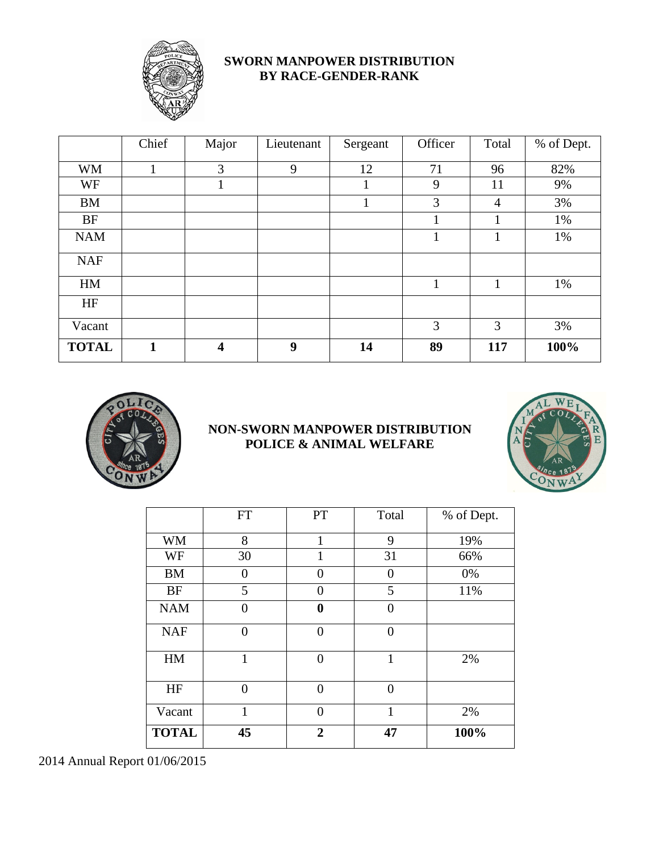

# **SWORN MANPOWER DISTRIBUTION BY RACE-GENDER-RANK**

|              | Chief | Major                   | Lieutenant | Sergeant | Officer      | Total          | % of Dept. |
|--------------|-------|-------------------------|------------|----------|--------------|----------------|------------|
| <b>WM</b>    | 1     | 3                       | 9          | 12       | 71           | 96             | 82%        |
| WF           |       | 1                       |            |          | 9            | 11             | 9%         |
| <b>BM</b>    |       |                         |            | 1        | 3            | $\overline{4}$ | 3%         |
| <b>BF</b>    |       |                         |            |          |              | 1              | 1%         |
| <b>NAM</b>   |       |                         |            |          |              | 1              | 1%         |
| <b>NAF</b>   |       |                         |            |          |              |                |            |
| HM           |       |                         |            |          | $\mathbf{1}$ | 1              | 1%         |
| HF           |       |                         |            |          |              |                |            |
| Vacant       |       |                         |            |          | 3            | 3              | 3%         |
| <b>TOTAL</b> | 1     | $\overline{\mathbf{4}}$ | 9          | 14       | 89           | 117            | 100%       |



# **NON-SWORN MANPOWER DISTRIBUTION POLICE & ANIMAL WELFARE**



|              | <b>FT</b>      | PT             | Total          | % of Dept. |
|--------------|----------------|----------------|----------------|------------|
| <b>WM</b>    | 8              | 1              | 9              | 19%        |
| WF           | 30             | 1              | 31             | 66%        |
| <b>BM</b>    | $\overline{0}$ | 0              | 0              | 0%         |
| <b>BF</b>    | 5              | $\Omega$       | 5              | 11%        |
| <b>NAM</b>   | 0              | $\bf{0}$       | 0              |            |
| <b>NAF</b>   | $\overline{0}$ | $\theta$       | $\overline{0}$ |            |
| HM           | 1              | $\theta$       | 1              | 2%         |
| HF           | $\overline{0}$ | $\theta$       | $\overline{0}$ |            |
| Vacant       | 1              | $\Omega$       | 1              | 2%         |
| <b>TOTAL</b> | 45             | $\overline{2}$ | 47             | 100%       |